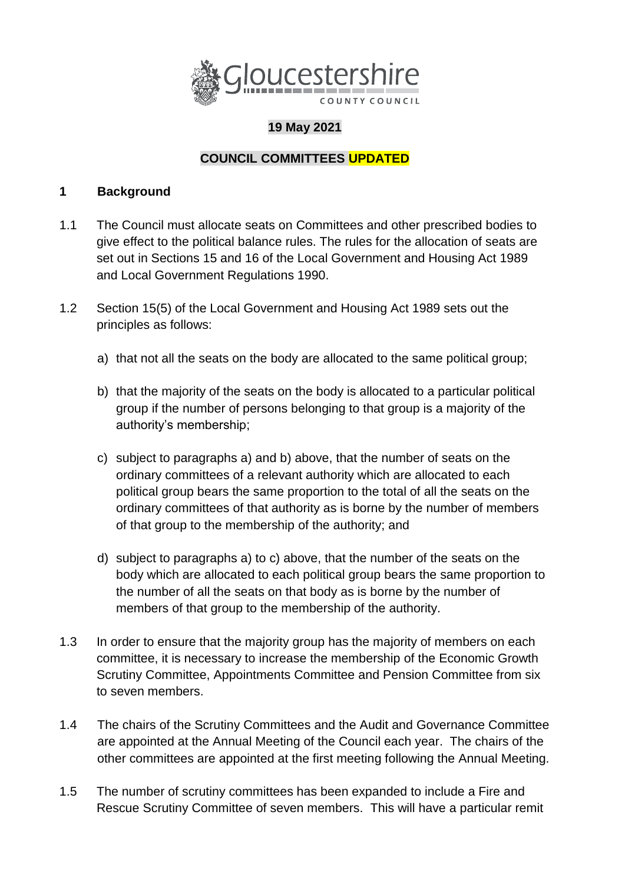

## **19 May 2021**

## **COUNCIL COMMITTEES UPDATED**

#### **1 Background**

- 1.1 The Council must allocate seats on Committees and other prescribed bodies to give effect to the political balance rules. The rules for the allocation of seats are set out in Sections 15 and 16 of the Local Government and Housing Act 1989 and Local Government Regulations 1990.
- 1.2 Section 15(5) of the Local Government and Housing Act 1989 sets out the principles as follows:
	- a) that not all the seats on the body are allocated to the same political group;
	- b) that the majority of the seats on the body is allocated to a particular political group if the number of persons belonging to that group is a majority of the authority's membership;
	- c) subject to paragraphs a) and b) above, that the number of seats on the ordinary committees of a relevant authority which are allocated to each political group bears the same proportion to the total of all the seats on the ordinary committees of that authority as is borne by the number of members of that group to the membership of the authority; and
	- d) subject to paragraphs a) to c) above, that the number of the seats on the body which are allocated to each political group bears the same proportion to the number of all the seats on that body as is borne by the number of members of that group to the membership of the authority.
- 1.3 In order to ensure that the majority group has the majority of members on each committee, it is necessary to increase the membership of the Economic Growth Scrutiny Committee, Appointments Committee and Pension Committee from six to seven members.
- 1.4 The chairs of the Scrutiny Committees and the Audit and Governance Committee are appointed at the Annual Meeting of the Council each year. The chairs of the other committees are appointed at the first meeting following the Annual Meeting.
- 1.5 The number of scrutiny committees has been expanded to include a Fire and Rescue Scrutiny Committee of seven members. This will have a particular remit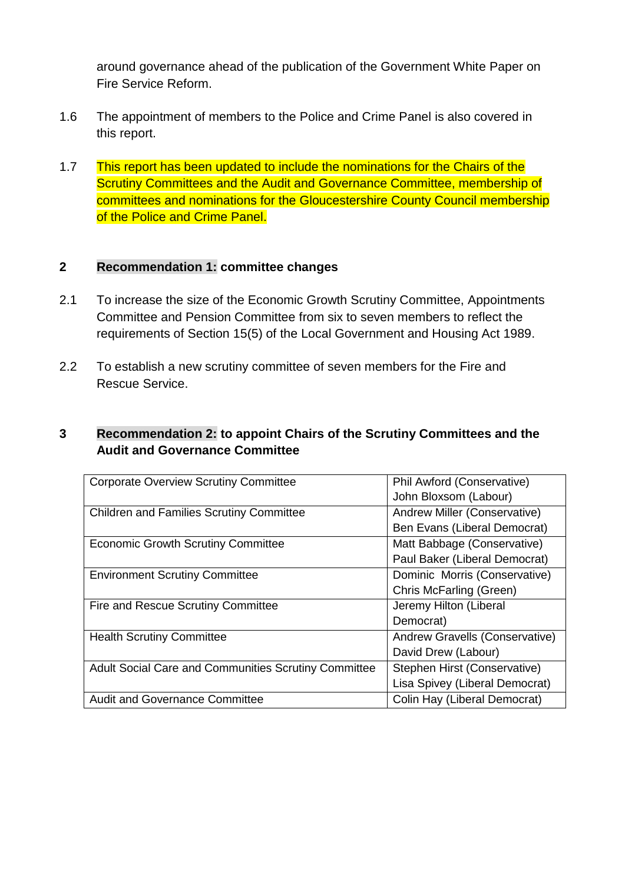around governance ahead of the publication of the Government White Paper on Fire Service Reform.

- 1.6 The appointment of members to the Police and Crime Panel is also covered in this report.
- 1.7 This report has been updated to include the nominations for the Chairs of the Scrutiny Committees and the Audit and Governance Committee, membership of committees and nominations for the Gloucestershire County Council membership of the Police and Crime Panel.

### **2 Recommendation 1: committee changes**

- 2.1 To increase the size of the Economic Growth Scrutiny Committee, Appointments Committee and Pension Committee from six to seven members to reflect the requirements of Section 15(5) of the Local Government and Housing Act 1989.
- 2.2 To establish a new scrutiny committee of seven members for the Fire and Rescue Service.

### **3 Recommendation 2: to appoint Chairs of the Scrutiny Committees and the Audit and Governance Committee**

| <b>Corporate Overview Scrutiny Committee</b>                | Phil Awford (Conservative)     |
|-------------------------------------------------------------|--------------------------------|
|                                                             | John Bloxsom (Labour)          |
| <b>Children and Families Scrutiny Committee</b>             | Andrew Miller (Conservative)   |
|                                                             | Ben Evans (Liberal Democrat)   |
| <b>Economic Growth Scrutiny Committee</b>                   | Matt Babbage (Conservative)    |
|                                                             | Paul Baker (Liberal Democrat)  |
| <b>Environment Scrutiny Committee</b>                       | Dominic Morris (Conservative)  |
|                                                             | Chris McFarling (Green)        |
| Fire and Rescue Scrutiny Committee                          | Jeremy Hilton (Liberal         |
|                                                             | Democrat)                      |
| <b>Health Scrutiny Committee</b>                            | Andrew Gravells (Conservative) |
|                                                             | David Drew (Labour)            |
| <b>Adult Social Care and Communities Scrutiny Committee</b> | Stephen Hirst (Conservative)   |
|                                                             | Lisa Spivey (Liberal Democrat) |
| <b>Audit and Governance Committee</b>                       | Colin Hay (Liberal Democrat)   |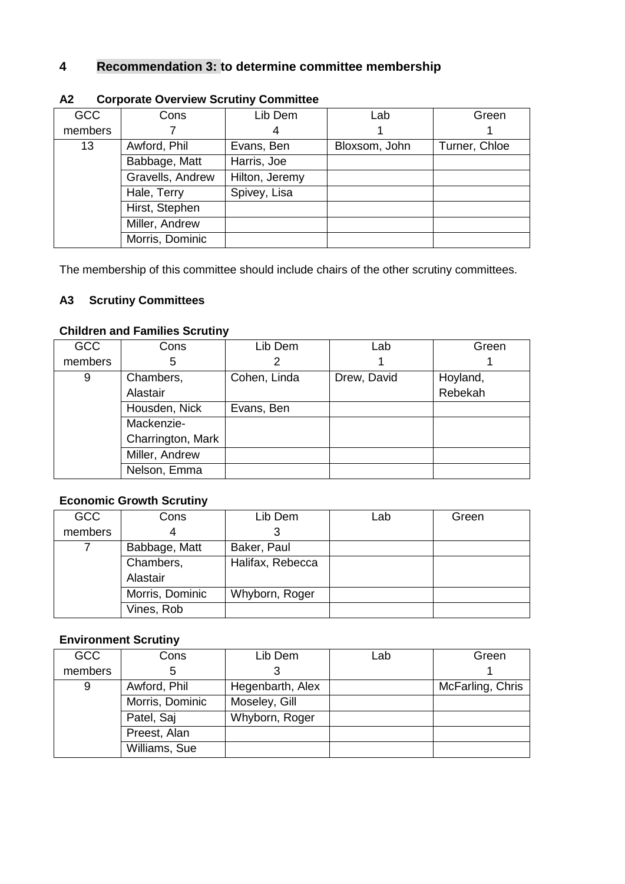## **4 Recommendation 3: to determine committee membership**

| <b>GCC</b> | Cons             | Lib Dem        | Lab           | Green         |
|------------|------------------|----------------|---------------|---------------|
| members    |                  |                |               |               |
| 13         | Awford, Phil     | Evans, Ben     | Bloxsom, John | Turner, Chloe |
|            | Babbage, Matt    | Harris, Joe    |               |               |
|            | Gravells, Andrew | Hilton, Jeremy |               |               |
|            | Hale, Terry      | Spivey, Lisa   |               |               |
|            | Hirst, Stephen   |                |               |               |
|            | Miller, Andrew   |                |               |               |
|            | Morris, Dominic  |                |               |               |

#### **A2 Corporate Overview Scrutiny Committee**

The membership of this committee should include chairs of the other scrutiny committees.

### **A3 Scrutiny Committees**

#### **Children and Families Scrutiny**

| <b>GCC</b> | Cons              | Lib Dem      | Lab         | Green    |
|------------|-------------------|--------------|-------------|----------|
| members    | 5                 | 2            |             |          |
| 9          | Chambers,         | Cohen, Linda | Drew, David | Hoyland, |
|            | Alastair          |              |             | Rebekah  |
|            | Housden, Nick     | Evans, Ben   |             |          |
|            | Mackenzie-        |              |             |          |
|            | Charrington, Mark |              |             |          |
|            | Miller, Andrew    |              |             |          |
|            | Nelson, Emma      |              |             |          |

#### **Economic Growth Scrutiny**

| <b>GCC</b> | Cons            | Lib Dem          | Lab | Green |
|------------|-----------------|------------------|-----|-------|
| members    | 4               |                  |     |       |
|            | Babbage, Matt   | Baker, Paul      |     |       |
|            | Chambers,       | Halifax, Rebecca |     |       |
|            | Alastair        |                  |     |       |
|            | Morris, Dominic | Whyborn, Roger   |     |       |
|            | Vines, Rob      |                  |     |       |

## **Environment Scrutiny**

| <b>GCC</b> | Cons            | Lib Dem          | Lab | Green            |
|------------|-----------------|------------------|-----|------------------|
| members    | 5               |                  |     |                  |
| 9          | Awford, Phil    | Hegenbarth, Alex |     | McFarling, Chris |
|            | Morris, Dominic | Moseley, Gill    |     |                  |
|            | Patel, Saj      | Whyborn, Roger   |     |                  |
|            | Preest, Alan    |                  |     |                  |
|            | Williams, Sue   |                  |     |                  |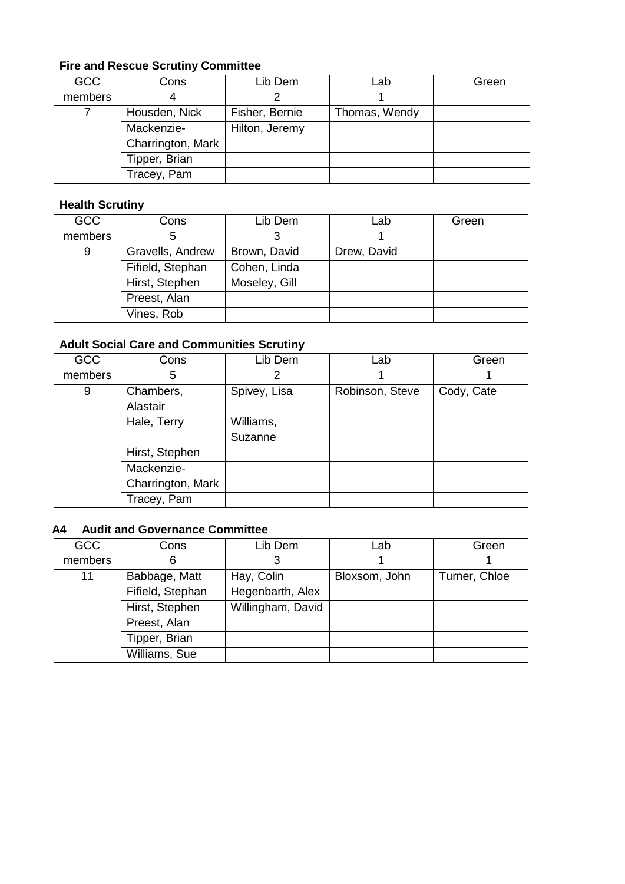## **Fire and Rescue Scrutiny Committee**

| <b>GCC</b> | Cons              | Lib Dem        | Lab           | Green |
|------------|-------------------|----------------|---------------|-------|
| members    | 4                 |                |               |       |
|            | Housden, Nick     | Fisher, Bernie | Thomas, Wendy |       |
|            | Mackenzie-        | Hilton, Jeremy |               |       |
|            | Charrington, Mark |                |               |       |
|            | Tipper, Brian     |                |               |       |
|            | Tracey, Pam       |                |               |       |

#### **Health Scrutiny**

| <b>GCC</b> | Cons             | Lib Dem       | Lab         | Green |
|------------|------------------|---------------|-------------|-------|
| members    | 5                |               |             |       |
| 9          | Gravells, Andrew | Brown, David  | Drew, David |       |
|            | Fifield, Stephan | Cohen, Linda  |             |       |
|            | Hirst, Stephen   | Moseley, Gill |             |       |
|            | Preest, Alan     |               |             |       |
|            | Vines, Rob       |               |             |       |

## **Adult Social Care and Communities Scrutiny**

| <b>GCC</b> | Cons              | Lib Dem      | Lab             | Green      |
|------------|-------------------|--------------|-----------------|------------|
|            |                   |              |                 |            |
| members    | 5                 |              |                 |            |
| 9          | Chambers,         | Spivey, Lisa | Robinson, Steve | Cody, Cate |
|            | Alastair          |              |                 |            |
|            | Hale, Terry       | Williams,    |                 |            |
|            |                   | Suzanne      |                 |            |
|            | Hirst, Stephen    |              |                 |            |
|            | Mackenzie-        |              |                 |            |
|            | Charrington, Mark |              |                 |            |
|            | Tracey, Pam       |              |                 |            |

### **A4 Audit and Governance Committee**

| <b>GCC</b> | Cons             | Lib Dem           | Lab           | Green         |
|------------|------------------|-------------------|---------------|---------------|
| members    | 6                |                   |               |               |
| 11         | Babbage, Matt    | Hay, Colin        | Bloxsom, John | Turner, Chloe |
|            | Fifield, Stephan | Hegenbarth, Alex  |               |               |
|            | Hirst, Stephen   | Willingham, David |               |               |
|            | Preest, Alan     |                   |               |               |
|            | Tipper, Brian    |                   |               |               |
|            | Williams, Sue    |                   |               |               |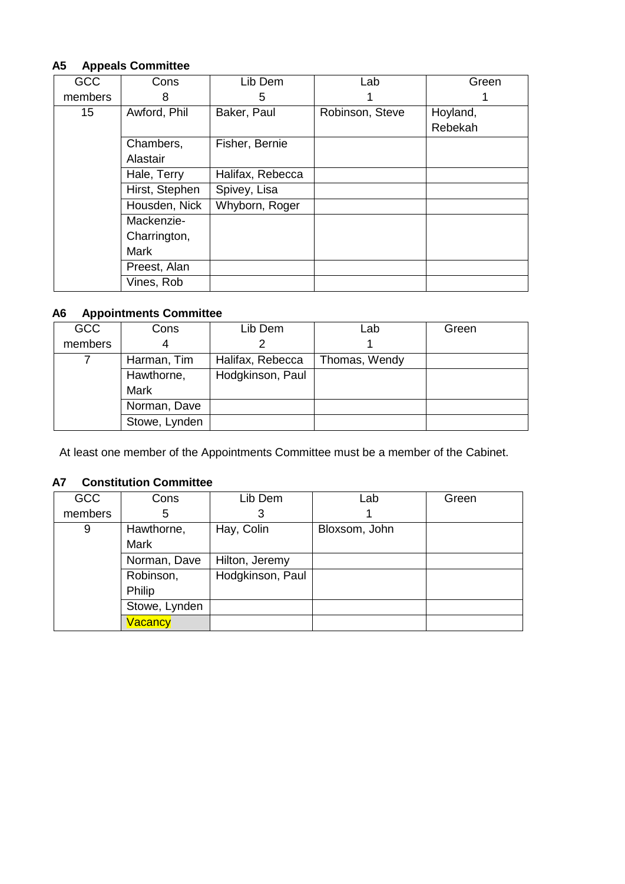### **A5 Appeals Committee**

| <b>GCC</b>       | Cons           | Lib Dem          | Lab             | Green    |
|------------------|----------------|------------------|-----------------|----------|
| members          | 8              | 5                |                 |          |
| 15 <sub>15</sub> | Awford, Phil   | Baker, Paul      | Robinson, Steve | Hoyland, |
|                  |                |                  |                 | Rebekah  |
|                  | Chambers,      | Fisher, Bernie   |                 |          |
|                  | Alastair       |                  |                 |          |
|                  | Hale, Terry    | Halifax, Rebecca |                 |          |
|                  | Hirst, Stephen | Spivey, Lisa     |                 |          |
|                  | Housden, Nick  | Whyborn, Roger   |                 |          |
|                  | Mackenzie-     |                  |                 |          |
|                  | Charrington,   |                  |                 |          |
|                  | <b>Mark</b>    |                  |                 |          |
|                  | Preest, Alan   |                  |                 |          |
|                  | Vines, Rob     |                  |                 |          |

### **A6 Appointments Committee**

| <b>GCC</b> | Cons          | Lib Dem          | Lab           | Green |
|------------|---------------|------------------|---------------|-------|
| members    | 4             |                  |               |       |
|            | Harman, Tim   | Halifax, Rebecca | Thomas, Wendy |       |
|            | Hawthorne,    | Hodgkinson, Paul |               |       |
|            | <b>Mark</b>   |                  |               |       |
|            | Norman, Dave  |                  |               |       |
|            | Stowe, Lynden |                  |               |       |

At least one member of the Appointments Committee must be a member of the Cabinet.

#### **A7 Constitution Committee**

| <b>GCC</b> | Cons           | Lib Dem          | Lab           | Green |
|------------|----------------|------------------|---------------|-------|
| members    | 5              | 3                |               |       |
| 9          | Hawthorne,     | Hay, Colin       | Bloxsom, John |       |
|            | <b>Mark</b>    |                  |               |       |
|            | Norman, Dave   | Hilton, Jeremy   |               |       |
|            | Robinson,      | Hodgkinson, Paul |               |       |
|            | Philip         |                  |               |       |
|            | Stowe, Lynden  |                  |               |       |
|            | <b>Vacancy</b> |                  |               |       |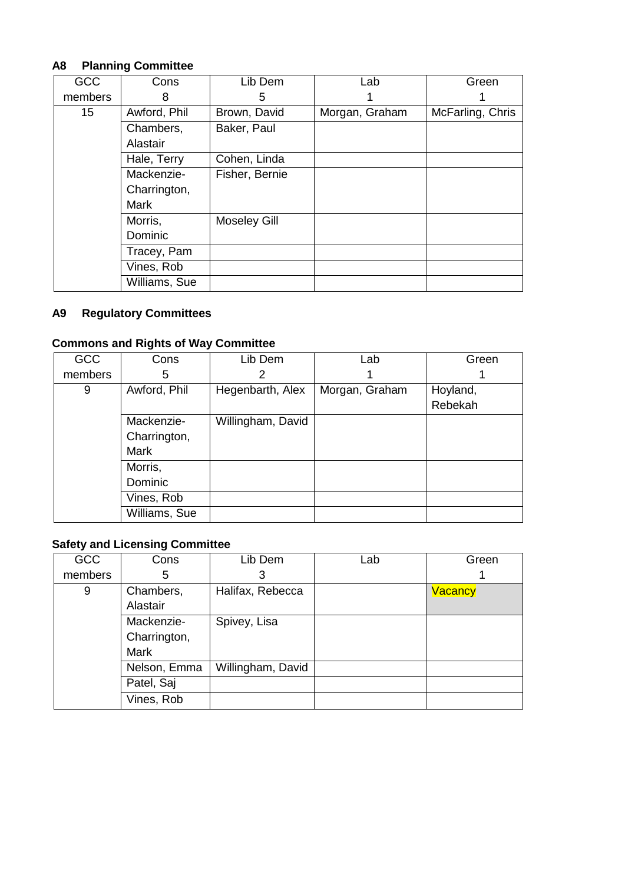## **A8 Planning Committee**

| <b>GCC</b>       | Cons          | Lib Dem             | Lab            | Green            |
|------------------|---------------|---------------------|----------------|------------------|
| members          | 8             | 5                   |                |                  |
| 15 <sub>15</sub> | Awford, Phil  | Brown, David        | Morgan, Graham | McFarling, Chris |
|                  | Chambers,     | Baker, Paul         |                |                  |
|                  | Alastair      |                     |                |                  |
|                  | Hale, Terry   | Cohen, Linda        |                |                  |
|                  | Mackenzie-    | Fisher, Bernie      |                |                  |
|                  | Charrington,  |                     |                |                  |
|                  | <b>Mark</b>   |                     |                |                  |
|                  | Morris,       | <b>Moseley Gill</b> |                |                  |
|                  | Dominic       |                     |                |                  |
|                  | Tracey, Pam   |                     |                |                  |
|                  | Vines, Rob    |                     |                |                  |
|                  | Williams, Sue |                     |                |                  |

## **A9 Regulatory Committees**

# **Commons and Rights of Way Committee**

| <b>GCC</b> | Cons          | Lib Dem           | Lab            | Green    |
|------------|---------------|-------------------|----------------|----------|
| members    | 5             | 2                 |                |          |
| 9          | Awford, Phil  | Hegenbarth, Alex  | Morgan, Graham | Hoyland, |
|            |               |                   |                | Rebekah  |
|            | Mackenzie-    | Willingham, David |                |          |
|            | Charrington,  |                   |                |          |
|            | <b>Mark</b>   |                   |                |          |
|            | Morris,       |                   |                |          |
|            | Dominic       |                   |                |          |
|            | Vines, Rob    |                   |                |          |
|            | Williams, Sue |                   |                |          |

## **Safety and Licensing Committee**

| <b>GCC</b> | Cons         | Lib Dem           | Lab | Green          |
|------------|--------------|-------------------|-----|----------------|
| members    | 5            | 3                 |     |                |
| 9          | Chambers,    | Halifax, Rebecca  |     | <b>Vacancy</b> |
|            | Alastair     |                   |     |                |
|            | Mackenzie-   | Spivey, Lisa      |     |                |
|            | Charrington, |                   |     |                |
|            | Mark         |                   |     |                |
|            | Nelson, Emma | Willingham, David |     |                |
|            | Patel, Saj   |                   |     |                |
|            | Vines, Rob   |                   |     |                |